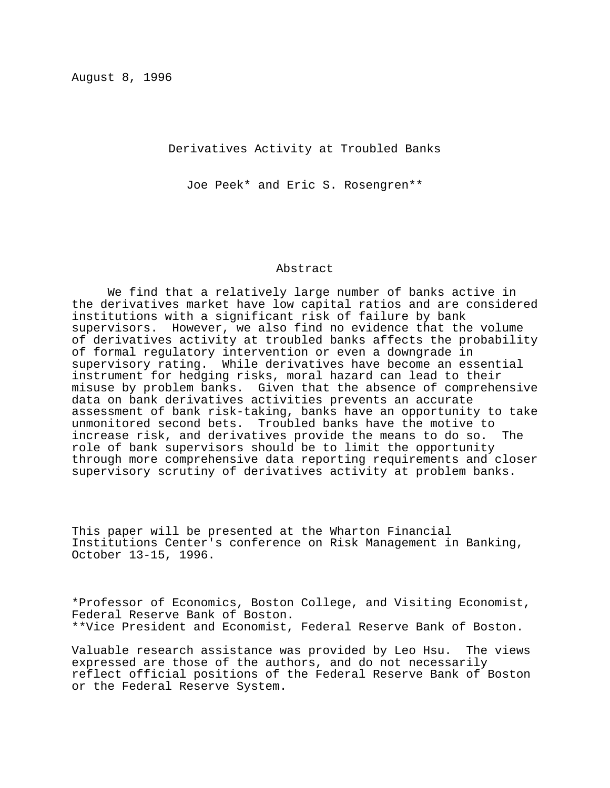August 8, 1996

Derivatives Activity at Troubled Banks

Joe Peek\* and Eric S. Rosengren\*\*

#### Abstract

We find that a relatively large number of banks active in the derivatives market have low capital ratios and are considered institutions with a significant risk of failure by bank supervisors. However, we also find no evidence that the volume of derivatives activity at troubled banks affects the probability of formal regulatory intervention or even a downgrade in supervisory rating. While derivatives have become an essential instrument for hedging risks, moral hazard can lead to their misuse by problem banks. Given that the absence of comprehensive data on bank derivatives activities prevents an accurate assessment of bank risk-taking, banks have an opportunity to take unmonitored second bets. Troubled banks have the motive to increase risk, and derivatives provide the means to do so. The role of bank supervisors should be to limit the opportunity through more comprehensive data reporting requirements and closer supervisory scrutiny of derivatives activity at problem banks.

This paper will be presented at the Wharton Financial Institutions Center's conference on Risk Management in Banking, October 13-15, 1996.

\*Professor of Economics, Boston College, and Visiting Economist, Federal Reserve Bank of Boston. \*\*Vice President and Economist, Federal Reserve Bank of Boston.

Valuable research assistance was provided by Leo Hsu. The views expressed are those of the authors, and do not necessarily reflect official positions of the Federal Reserve Bank of Boston or the Federal Reserve System.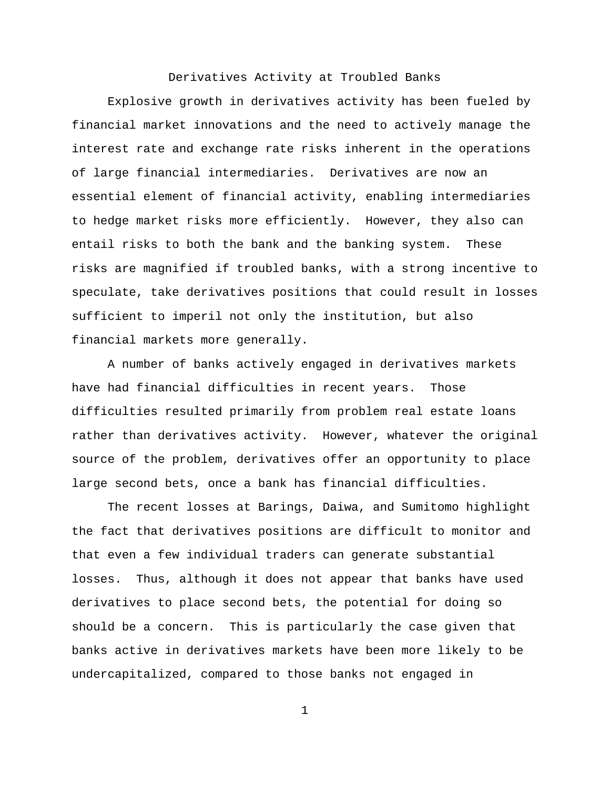### Derivatives Activity at Troubled Banks

Explosive growth in derivatives activity has been fueled by financial market innovations and the need to actively manage the interest rate and exchange rate risks inherent in the operations of large financial intermediaries. Derivatives are now an essential element of financial activity, enabling intermediaries to hedge market risks more efficiently. However, they also can entail risks to both the bank and the banking system. These risks are magnified if troubled banks, with a strong incentive to speculate, take derivatives positions that could result in losses sufficient to imperil not only the institution, but also financial markets more generally.

A number of banks actively engaged in derivatives markets have had financial difficulties in recent years. Those difficulties resulted primarily from problem real estate loans rather than derivatives activity. However, whatever the original source of the problem, derivatives offer an opportunity to place large second bets, once a bank has financial difficulties.

The recent losses at Barings, Daiwa, and Sumitomo highlight the fact that derivatives positions are difficult to monitor and that even a few individual traders can generate substantial losses. Thus, although it does not appear that banks have used derivatives to place second bets, the potential for doing so should be a concern. This is particularly the case given that banks active in derivatives markets have been more likely to be undercapitalized, compared to those banks not engaged in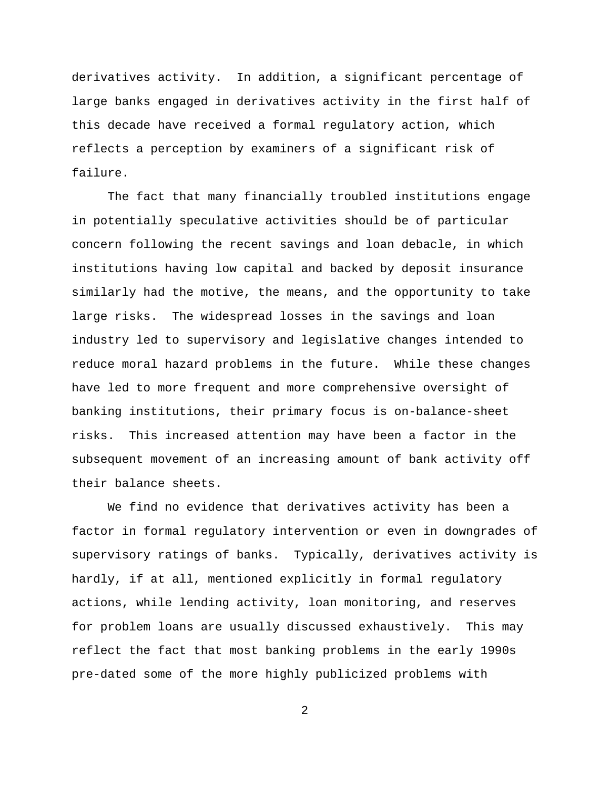derivatives activity. In addition, a significant percentage of large banks engaged in derivatives activity in the first half of this decade have received a formal regulatory action, which reflects a perception by examiners of a significant risk of failure.

The fact that many financially troubled institutions engage in potentially speculative activities should be of particular concern following the recent savings and loan debacle, in which institutions having low capital and backed by deposit insurance similarly had the motive, the means, and the opportunity to take large risks. The widespread losses in the savings and loan industry led to supervisory and legislative changes intended to reduce moral hazard problems in the future. While these changes have led to more frequent and more comprehensive oversight of banking institutions, their primary focus is on-balance-sheet risks. This increased attention may have been a factor in the subsequent movement of an increasing amount of bank activity off their balance sheets.

We find no evidence that derivatives activity has been a factor in formal regulatory intervention or even in downgrades of supervisory ratings of banks. Typically, derivatives activity is hardly, if at all, mentioned explicitly in formal regulatory actions, while lending activity, loan monitoring, and reserves for problem loans are usually discussed exhaustively. This may reflect the fact that most banking problems in the early 1990s pre-dated some of the more highly publicized problems with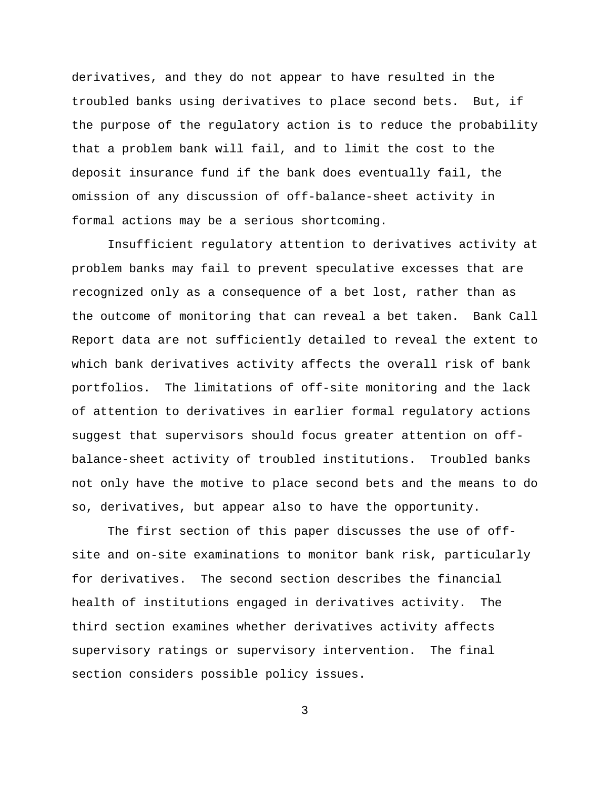derivatives, and they do not appear to have resulted in the troubled banks using derivatives to place second bets. But, if the purpose of the regulatory action is to reduce the probability that a problem bank will fail, and to limit the cost to the deposit insurance fund if the bank does eventually fail, the omission of any discussion of off-balance-sheet activity in formal actions may be a serious shortcoming.

Insufficient regulatory attention to derivatives activity at problem banks may fail to prevent speculative excesses that are recognized only as a consequence of a bet lost, rather than as the outcome of monitoring that can reveal a bet taken. Bank Call Report data are not sufficiently detailed to reveal the extent to which bank derivatives activity affects the overall risk of bank portfolios. The limitations of off-site monitoring and the lack of attention to derivatives in earlier formal regulatory actions suggest that supervisors should focus greater attention on offbalance-sheet activity of troubled institutions. Troubled banks not only have the motive to place second bets and the means to do so, derivatives, but appear also to have the opportunity.

The first section of this paper discusses the use of offsite and on-site examinations to monitor bank risk, particularly for derivatives. The second section describes the financial health of institutions engaged in derivatives activity. The third section examines whether derivatives activity affects supervisory ratings or supervisory intervention. The final section considers possible policy issues.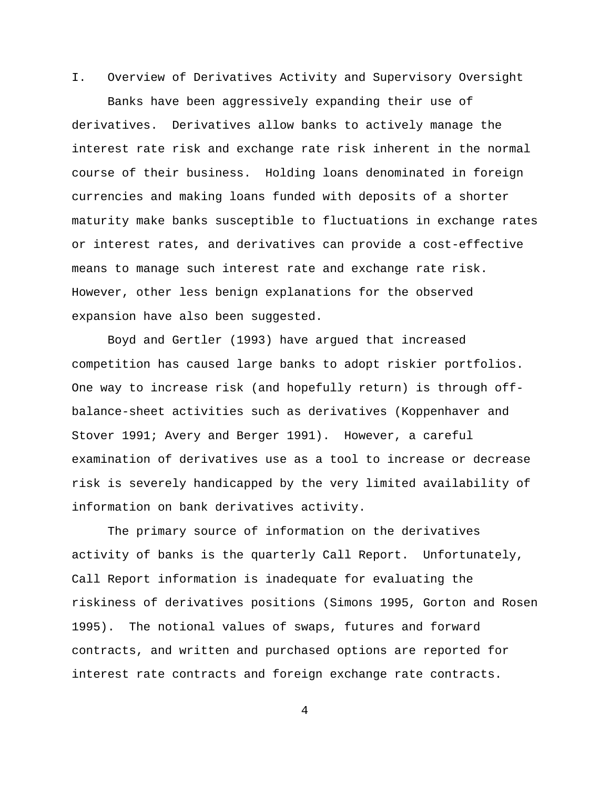I. Overview of Derivatives Activity and Supervisory Oversight

Banks have been aggressively expanding their use of derivatives. Derivatives allow banks to actively manage the interest rate risk and exchange rate risk inherent in the normal course of their business. Holding loans denominated in foreign currencies and making loans funded with deposits of a shorter maturity make banks susceptible to fluctuations in exchange rates or interest rates, and derivatives can provide a cost-effective means to manage such interest rate and exchange rate risk. However, other less benign explanations for the observed expansion have also been suggested.

Boyd and Gertler (1993) have argued that increased competition has caused large banks to adopt riskier portfolios. One way to increase risk (and hopefully return) is through offbalance-sheet activities such as derivatives (Koppenhaver and Stover 1991; Avery and Berger 1991). However, a careful examination of derivatives use as a tool to increase or decrease risk is severely handicapped by the very limited availability of information on bank derivatives activity.

The primary source of information on the derivatives activity of banks is the quarterly Call Report. Unfortunately, Call Report information is inadequate for evaluating the riskiness of derivatives positions (Simons 1995, Gorton and Rosen 1995). The notional values of swaps, futures and forward contracts, and written and purchased options are reported for interest rate contracts and foreign exchange rate contracts.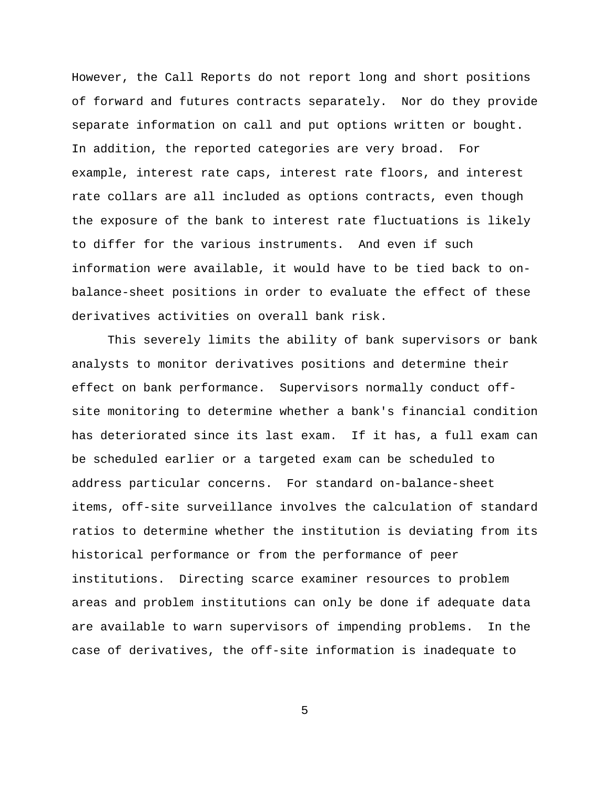However, the Call Reports do not report long and short positions of forward and futures contracts separately. Nor do they provide separate information on call and put options written or bought. In addition, the reported categories are very broad. For example, interest rate caps, interest rate floors, and interest rate collars are all included as options contracts, even though the exposure of the bank to interest rate fluctuations is likely to differ for the various instruments. And even if such information were available, it would have to be tied back to onbalance-sheet positions in order to evaluate the effect of these derivatives activities on overall bank risk.

This severely limits the ability of bank supervisors or bank analysts to monitor derivatives positions and determine their effect on bank performance. Supervisors normally conduct offsite monitoring to determine whether a bank's financial condition has deteriorated since its last exam. If it has, a full exam can be scheduled earlier or a targeted exam can be scheduled to address particular concerns. For standard on-balance-sheet items, off-site surveillance involves the calculation of standard ratios to determine whether the institution is deviating from its historical performance or from the performance of peer institutions. Directing scarce examiner resources to problem areas and problem institutions can only be done if adequate data are available to warn supervisors of impending problems. In the case of derivatives, the off-site information is inadequate to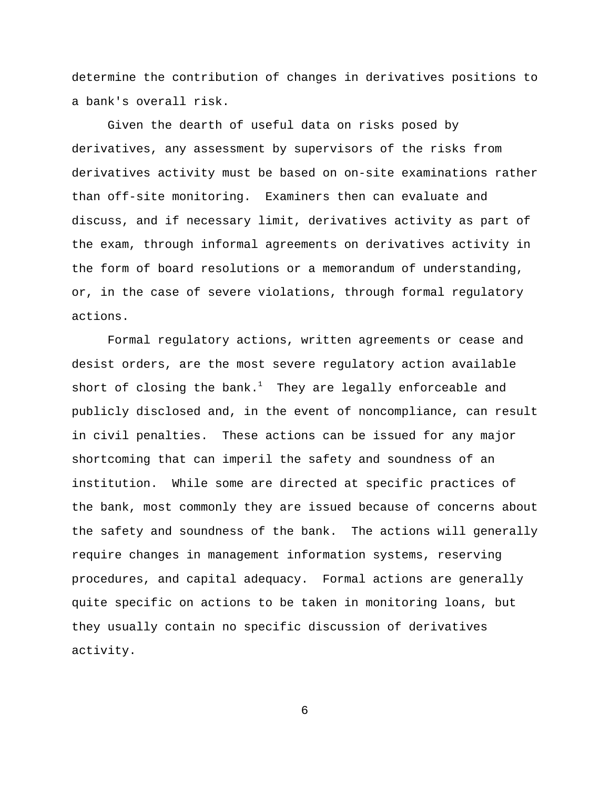determine the contribution of changes in derivatives positions to a bank's overall risk.

Given the dearth of useful data on risks posed by derivatives, any assessment by supervisors of the risks from derivatives activity must be based on on-site examinations rather than off-site monitoring. Examiners then can evaluate and discuss, and if necessary limit, derivatives activity as part of the exam, through informal agreements on derivatives activity in the form of board resolutions or a memorandum of understanding, or, in the case of severe violations, through formal regulatory actions.

Formal regulatory actions, written agreements or cease and desist orders, are the most severe regulatory action available short of closing the bank.<sup>1</sup> They are legally enforceable and publicly disclosed and, in the event of noncompliance, can result in civil penalties. These actions can be issued for any major shortcoming that can imperil the safety and soundness of an institution. While some are directed at specific practices of the bank, most commonly they are issued because of concerns about the safety and soundness of the bank. The actions will generally require changes in management information systems, reserving procedures, and capital adequacy. Formal actions are generally quite specific on actions to be taken in monitoring loans, but they usually contain no specific discussion of derivatives activity.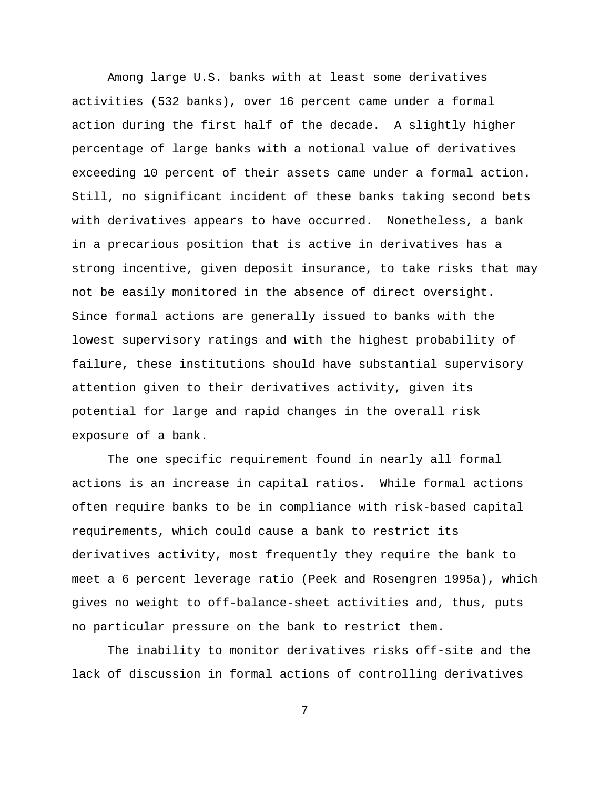Among large U.S. banks with at least some derivatives activities (532 banks), over 16 percent came under a formal action during the first half of the decade. A slightly higher percentage of large banks with a notional value of derivatives exceeding 10 percent of their assets came under a formal action. Still, no significant incident of these banks taking second bets with derivatives appears to have occurred. Nonetheless, a bank in a precarious position that is active in derivatives has a strong incentive, given deposit insurance, to take risks that may not be easily monitored in the absence of direct oversight. Since formal actions are generally issued to banks with the lowest supervisory ratings and with the highest probability of failure, these institutions should have substantial supervisory attention given to their derivatives activity, given its potential for large and rapid changes in the overall risk exposure of a bank.

The one specific requirement found in nearly all formal actions is an increase in capital ratios. While formal actions often require banks to be in compliance with risk-based capital requirements, which could cause a bank to restrict its derivatives activity, most frequently they require the bank to meet a 6 percent leverage ratio (Peek and Rosengren 1995a), which gives no weight to off-balance-sheet activities and, thus, puts no particular pressure on the bank to restrict them.

The inability to monitor derivatives risks off-site and the lack of discussion in formal actions of controlling derivatives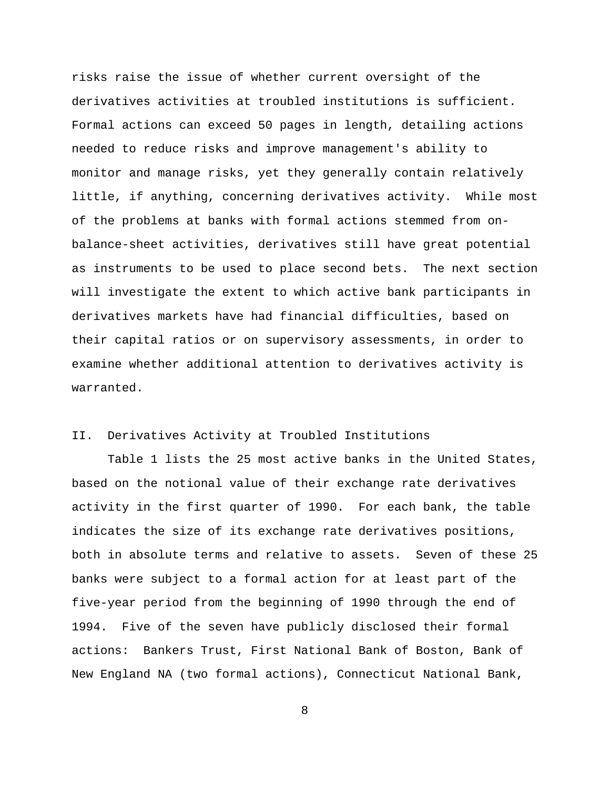risks raise the issue of whether current oversight of the derivatives activities at troubled institutions is sufficient. Formal actions can exceed 50 pages in length, detailing actions needed to reduce risks and improve management's ability to monitor and manage risks, yet they generally contain relatively little, if anything, concerning derivatives activity. While most of the problems at banks with formal actions stemmed from onbalance-sheet activities, derivatives still have great potential as instruments to be used to place second bets. The next section will investigate the extent to which active bank participants in derivatives markets have had financial difficulties, based on their capital ratios or on supervisory assessments, in order to examine whether additional attention to derivatives activity is warranted.

# II. Derivatives Activity at Troubled Institutions

Table 1 lists the 25 most active banks in the United States, based on the notional value of their exchange rate derivatives activity in the first quarter of 1990. For each bank, the table indicates the size of its exchange rate derivatives positions, both in absolute terms and relative to assets. Seven of these 25 banks were subject to a formal action for at least part of the five-year period from the beginning of 1990 through the end of 1994. Five of the seven have publicly disclosed their formal actions: Bankers Trust, First National Bank of Boston, Bank of New England NA (two formal actions), Connecticut National Bank,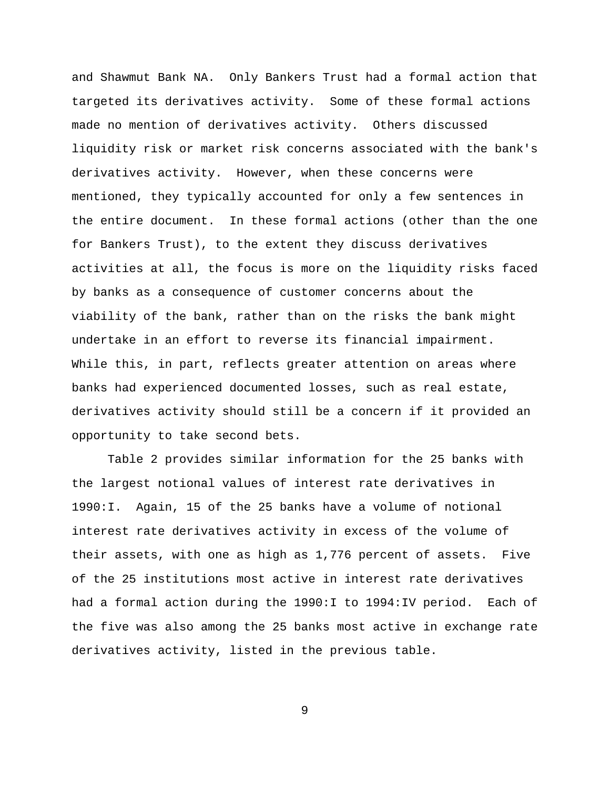and Shawmut Bank NA. Only Bankers Trust had a formal action that targeted its derivatives activity. Some of these formal actions made no mention of derivatives activity. Others discussed liquidity risk or market risk concerns associated with the bank's derivatives activity. However, when these concerns were mentioned, they typically accounted for only a few sentences in the entire document. In these formal actions (other than the one for Bankers Trust), to the extent they discuss derivatives activities at all, the focus is more on the liquidity risks faced by banks as a consequence of customer concerns about the viability of the bank, rather than on the risks the bank might undertake in an effort to reverse its financial impairment. While this, in part, reflects greater attention on areas where banks had experienced documented losses, such as real estate, derivatives activity should still be a concern if it provided an opportunity to take second bets.

Table 2 provides similar information for the 25 banks with the largest notional values of interest rate derivatives in 1990:I. Again, 15 of the 25 banks have a volume of notional interest rate derivatives activity in excess of the volume of their assets, with one as high as 1,776 percent of assets. Five of the 25 institutions most active in interest rate derivatives had a formal action during the 1990:I to 1994:IV period. Each of the five was also among the 25 banks most active in exchange rate derivatives activity, listed in the previous table.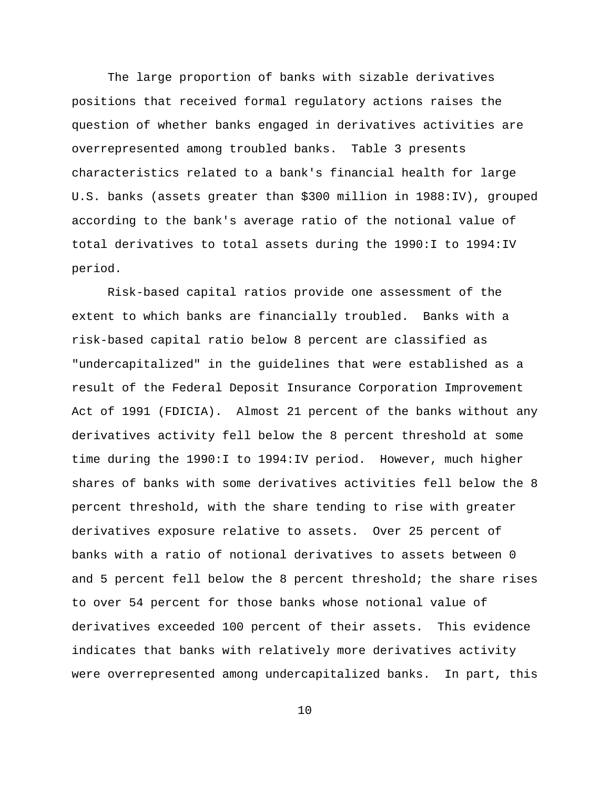The large proportion of banks with sizable derivatives positions that received formal regulatory actions raises the question of whether banks engaged in derivatives activities are overrepresented among troubled banks. Table 3 presents characteristics related to a bank's financial health for large U.S. banks (assets greater than \$300 million in 1988:IV), grouped according to the bank's average ratio of the notional value of total derivatives to total assets during the 1990:I to 1994:IV period.

Risk-based capital ratios provide one assessment of the extent to which banks are financially troubled. Banks with a risk-based capital ratio below 8 percent are classified as "undercapitalized" in the guidelines that were established as a result of the Federal Deposit Insurance Corporation Improvement Act of 1991 (FDICIA). Almost 21 percent of the banks without any derivatives activity fell below the 8 percent threshold at some time during the 1990:I to 1994:IV period. However, much higher shares of banks with some derivatives activities fell below the 8 percent threshold, with the share tending to rise with greater derivatives exposure relative to assets. Over 25 percent of banks with a ratio of notional derivatives to assets between 0 and 5 percent fell below the 8 percent threshold; the share rises to over 54 percent for those banks whose notional value of derivatives exceeded 100 percent of their assets. This evidence indicates that banks with relatively more derivatives activity were overrepresented among undercapitalized banks. In part, this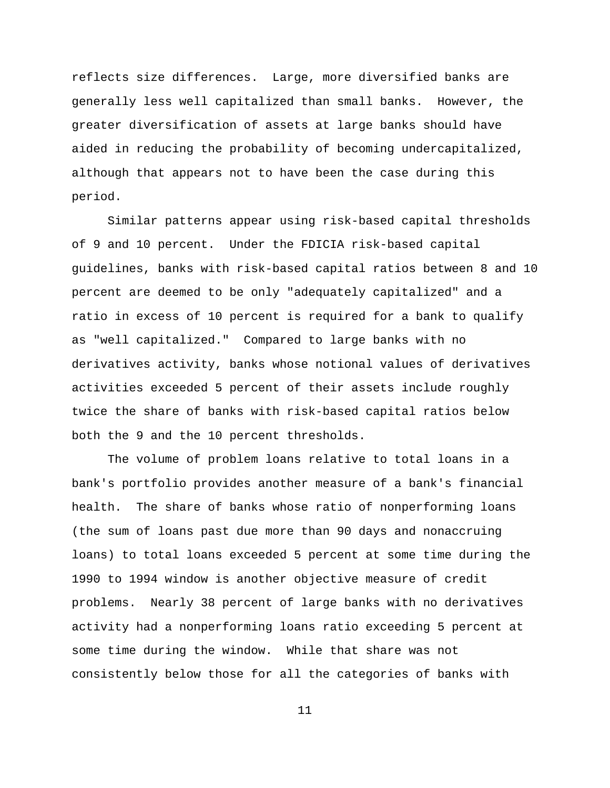reflects size differences. Large, more diversified banks are generally less well capitalized than small banks. However, the greater diversification of assets at large banks should have aided in reducing the probability of becoming undercapitalized, although that appears not to have been the case during this period.

Similar patterns appear using risk-based capital thresholds of 9 and 10 percent. Under the FDICIA risk-based capital guidelines, banks with risk-based capital ratios between 8 and 10 percent are deemed to be only "adequately capitalized" and a ratio in excess of 10 percent is required for a bank to qualify as "well capitalized." Compared to large banks with no derivatives activity, banks whose notional values of derivatives activities exceeded 5 percent of their assets include roughly twice the share of banks with risk-based capital ratios below both the 9 and the 10 percent thresholds.

The volume of problem loans relative to total loans in a bank's portfolio provides another measure of a bank's financial health. The share of banks whose ratio of nonperforming loans (the sum of loans past due more than 90 days and nonaccruing loans) to total loans exceeded 5 percent at some time during the 1990 to 1994 window is another objective measure of credit problems. Nearly 38 percent of large banks with no derivatives activity had a nonperforming loans ratio exceeding 5 percent at some time during the window. While that share was not consistently below those for all the categories of banks with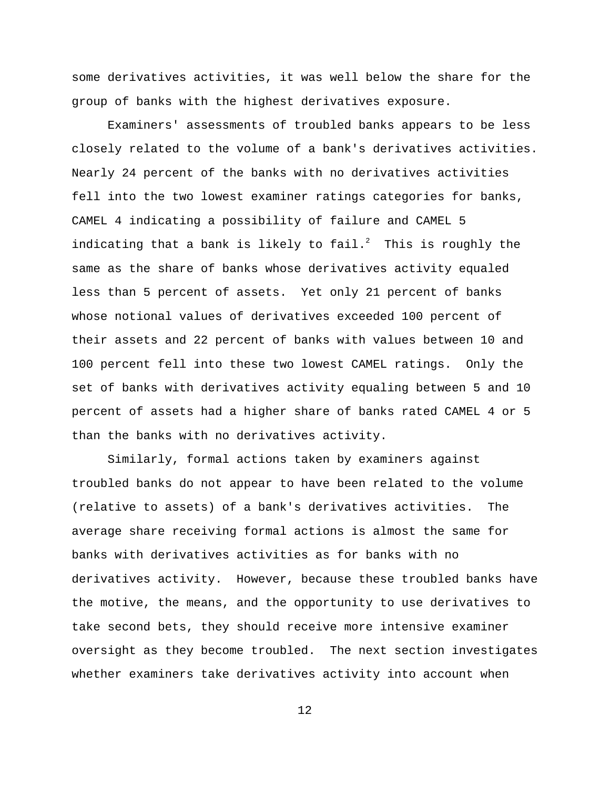some derivatives activities, it was well below the share for the group of banks with the highest derivatives exposure.

Examiners' assessments of troubled banks appears to be less closely related to the volume of a bank's derivatives activities. Nearly 24 percent of the banks with no derivatives activities fell into the two lowest examiner ratings categories for banks, CAMEL 4 indicating a possibility of failure and CAMEL 5 indicating that a bank is likely to fail.<sup>2</sup> This is roughly the same as the share of banks whose derivatives activity equaled less than 5 percent of assets. Yet only 21 percent of banks whose notional values of derivatives exceeded 100 percent of their assets and 22 percent of banks with values between 10 and 100 percent fell into these two lowest CAMEL ratings. Only the set of banks with derivatives activity equaling between 5 and 10 percent of assets had a higher share of banks rated CAMEL 4 or 5 than the banks with no derivatives activity.

Similarly, formal actions taken by examiners against troubled banks do not appear to have been related to the volume (relative to assets) of a bank's derivatives activities. The average share receiving formal actions is almost the same for banks with derivatives activities as for banks with no derivatives activity. However, because these troubled banks have the motive, the means, and the opportunity to use derivatives to take second bets, they should receive more intensive examiner oversight as they become troubled. The next section investigates whether examiners take derivatives activity into account when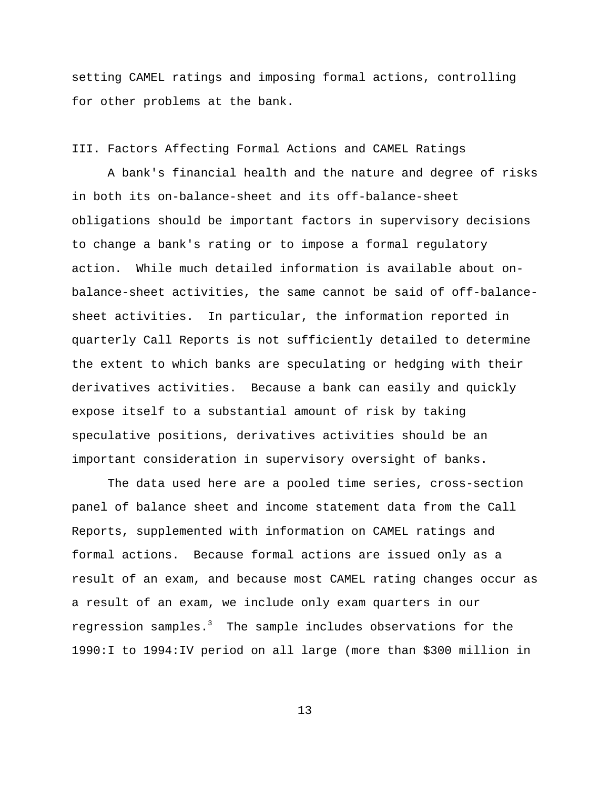setting CAMEL ratings and imposing formal actions, controlling for other problems at the bank.

#### III. Factors Affecting Formal Actions and CAMEL Ratings

A bank's financial health and the nature and degree of risks in both its on-balance-sheet and its off-balance-sheet obligations should be important factors in supervisory decisions to change a bank's rating or to impose a formal regulatory action. While much detailed information is available about onbalance-sheet activities, the same cannot be said of off-balancesheet activities. In particular, the information reported in quarterly Call Reports is not sufficiently detailed to determine the extent to which banks are speculating or hedging with their derivatives activities. Because a bank can easily and quickly expose itself to a substantial amount of risk by taking speculative positions, derivatives activities should be an important consideration in supervisory oversight of banks.

The data used here are a pooled time series, cross-section panel of balance sheet and income statement data from the Call Reports, supplemented with information on CAMEL ratings and formal actions. Because formal actions are issued only as a result of an exam, and because most CAMEL rating changes occur as a result of an exam, we include only exam quarters in our regression samples. $3$  The sample includes observations for the 1990:I to 1994:IV period on all large (more than \$300 million in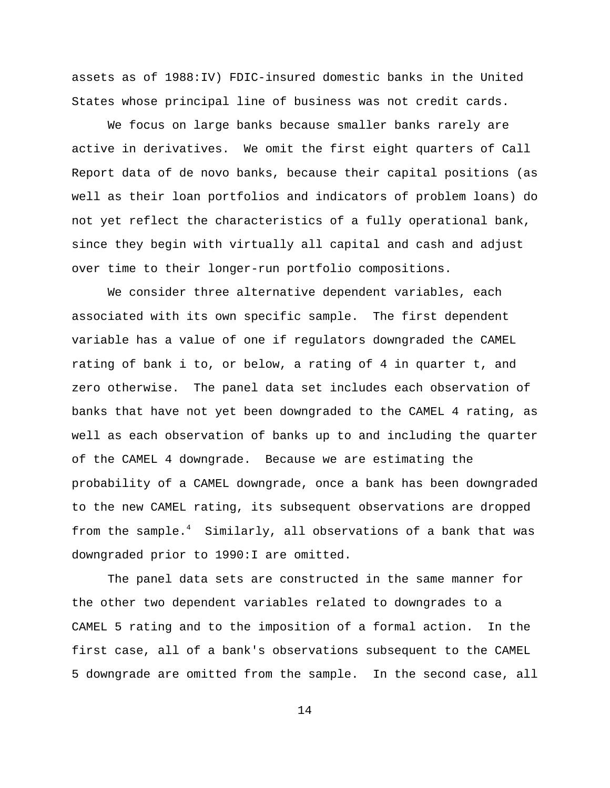assets as of 1988:IV) FDIC-insured domestic banks in the United States whose principal line of business was not credit cards.

We focus on large banks because smaller banks rarely are active in derivatives. We omit the first eight quarters of Call Report data of de novo banks, because their capital positions (as well as their loan portfolios and indicators of problem loans) do not yet reflect the characteristics of a fully operational bank, since they begin with virtually all capital and cash and adjust over time to their longer-run portfolio compositions.

We consider three alternative dependent variables, each associated with its own specific sample. The first dependent variable has a value of one if regulators downgraded the CAMEL rating of bank i to, or below, a rating of 4 in quarter t, and zero otherwise. The panel data set includes each observation of banks that have not yet been downgraded to the CAMEL 4 rating, as well as each observation of banks up to and including the quarter of the CAMEL 4 downgrade. Because we are estimating the probability of a CAMEL downgrade, once a bank has been downgraded to the new CAMEL rating, its subsequent observations are dropped from the sample. $4$  Similarly, all observations of a bank that was downgraded prior to 1990:I are omitted.

The panel data sets are constructed in the same manner for the other two dependent variables related to downgrades to a CAMEL 5 rating and to the imposition of a formal action. In the first case, all of a bank's observations subsequent to the CAMEL 5 downgrade are omitted from the sample. In the second case, all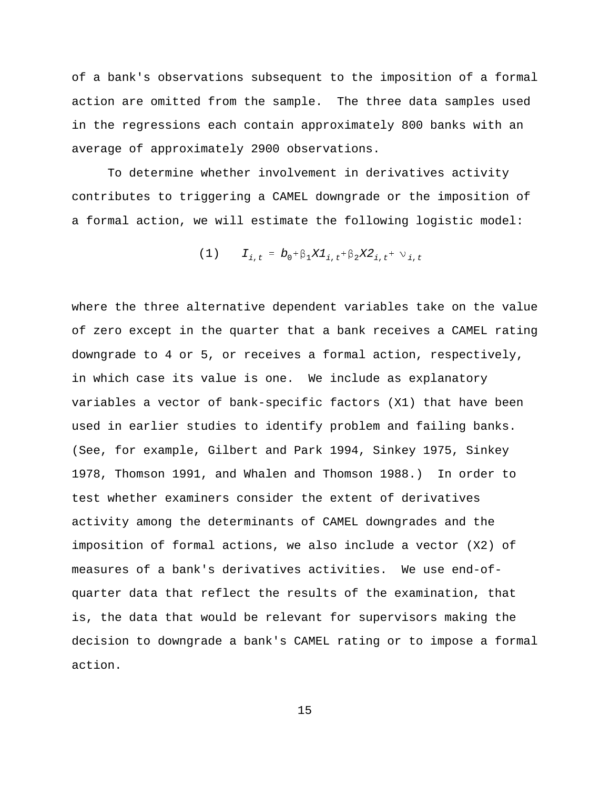of a bank's observations subsequent to the imposition of a formal action are omitted from the sample. The three data samples used in the regressions each contain approximately 800 banks with an average of approximately 2900 observations.

To determine whether involvement in derivatives activity contributes to triggering a CAMEL downgrade or the imposition of a formal action, we will estimate the following logistic model:

(1) 
$$
I_{i,t} = b_0 + \beta_1 X I_{i,t} + \beta_2 X I_{i,t} + \nu_{i,t}
$$

where the three alternative dependent variables take on the value of zero except in the quarter that a bank receives a CAMEL rating downgrade to 4 or 5, or receives a formal action, respectively, in which case its value is one. We include as explanatory variables a vector of bank-specific factors (X1) that have been used in earlier studies to identify problem and failing banks. (See, for example, Gilbert and Park 1994, Sinkey 1975, Sinkey 1978, Thomson 1991, and Whalen and Thomson 1988.) In order to test whether examiners consider the extent of derivatives activity among the determinants of CAMEL downgrades and the imposition of formal actions, we also include a vector (X2) of measures of a bank's derivatives activities. We use end-ofquarter data that reflect the results of the examination, that is, the data that would be relevant for supervisors making the decision to downgrade a bank's CAMEL rating or to impose a formal action.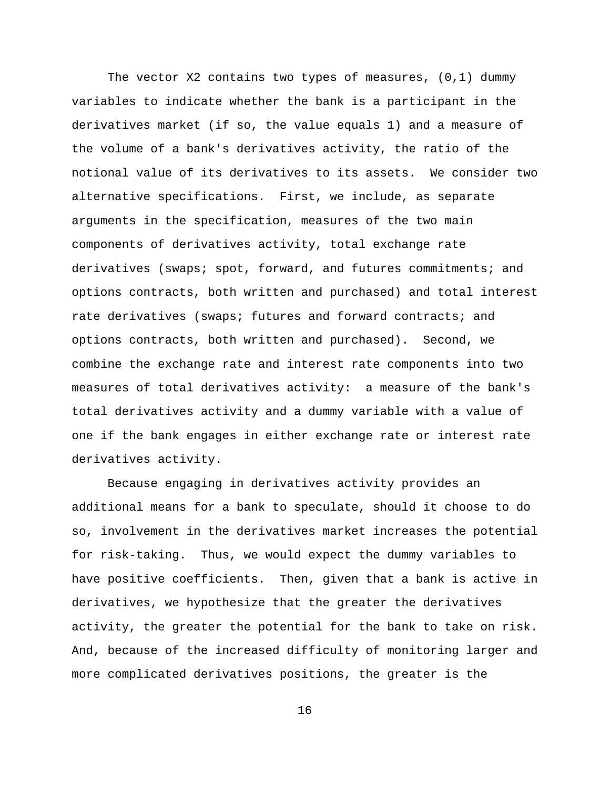The vector  $X2$  contains two types of measures,  $(0,1)$  dummy variables to indicate whether the bank is a participant in the derivatives market (if so, the value equals 1) and a measure of the volume of a bank's derivatives activity, the ratio of the notional value of its derivatives to its assets. We consider two alternative specifications. First, we include, as separate arguments in the specification, measures of the two main components of derivatives activity, total exchange rate derivatives (swaps; spot, forward, and futures commitments; and options contracts, both written and purchased) and total interest rate derivatives (swaps; futures and forward contracts; and options contracts, both written and purchased). Second, we combine the exchange rate and interest rate components into two measures of total derivatives activity: a measure of the bank's total derivatives activity and a dummy variable with a value of one if the bank engages in either exchange rate or interest rate derivatives activity.

Because engaging in derivatives activity provides an additional means for a bank to speculate, should it choose to do so, involvement in the derivatives market increases the potential for risk-taking. Thus, we would expect the dummy variables to have positive coefficients. Then, given that a bank is active in derivatives, we hypothesize that the greater the derivatives activity, the greater the potential for the bank to take on risk. And, because of the increased difficulty of monitoring larger and more complicated derivatives positions, the greater is the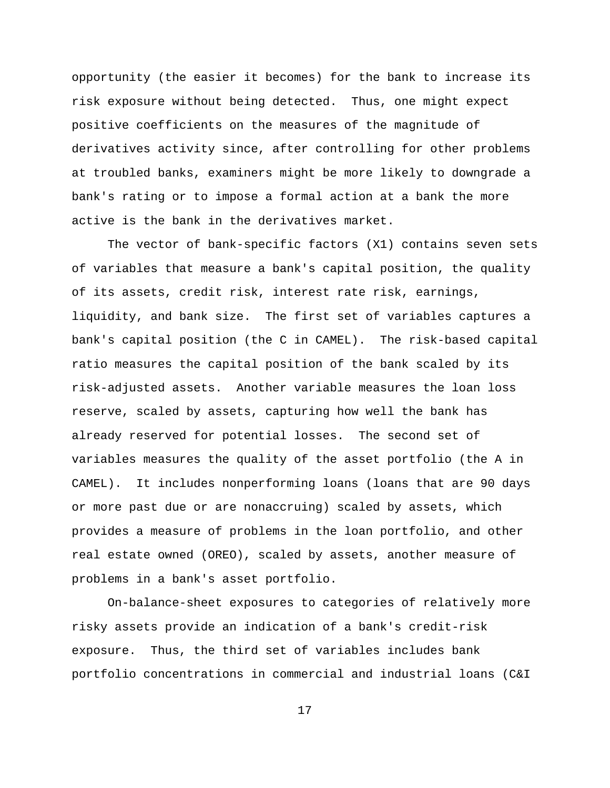opportunity (the easier it becomes) for the bank to increase its risk exposure without being detected. Thus, one might expect positive coefficients on the measures of the magnitude of derivatives activity since, after controlling for other problems at troubled banks, examiners might be more likely to downgrade a bank's rating or to impose a formal action at a bank the more active is the bank in the derivatives market.

The vector of bank-specific factors (X1) contains seven sets of variables that measure a bank's capital position, the quality of its assets, credit risk, interest rate risk, earnings, liquidity, and bank size. The first set of variables captures a bank's capital position (the C in CAMEL). The risk-based capital ratio measures the capital position of the bank scaled by its risk-adjusted assets. Another variable measures the loan loss reserve, scaled by assets, capturing how well the bank has already reserved for potential losses. The second set of variables measures the quality of the asset portfolio (the A in CAMEL). It includes nonperforming loans (loans that are 90 days or more past due or are nonaccruing) scaled by assets, which provides a measure of problems in the loan portfolio, and other real estate owned (OREO), scaled by assets, another measure of problems in a bank's asset portfolio.

On-balance-sheet exposures to categories of relatively more risky assets provide an indication of a bank's credit-risk exposure. Thus, the third set of variables includes bank portfolio concentrations in commercial and industrial loans (C&I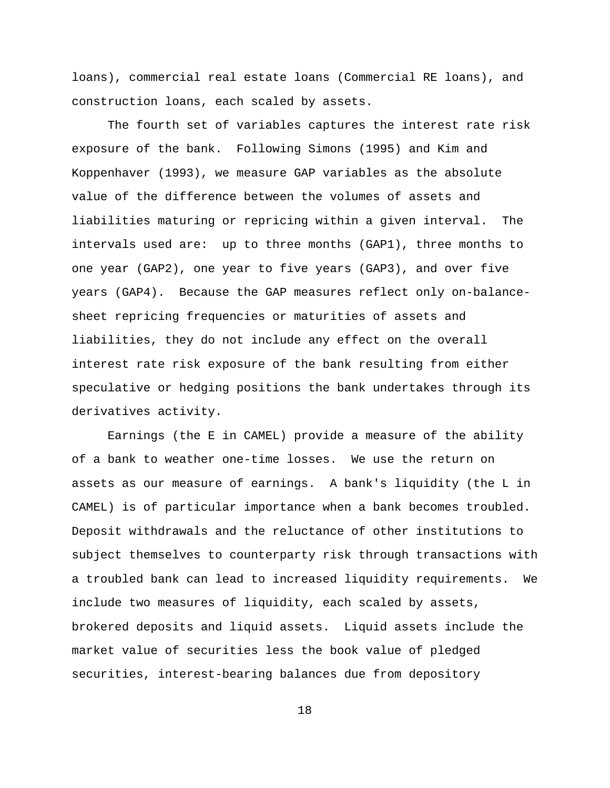loans), commercial real estate loans (Commercial RE loans), and construction loans, each scaled by assets.

The fourth set of variables captures the interest rate risk exposure of the bank. Following Simons (1995) and Kim and Koppenhaver (1993), we measure GAP variables as the absolute value of the difference between the volumes of assets and liabilities maturing or repricing within a given interval. The intervals used are: up to three months (GAP1), three months to one year (GAP2), one year to five years (GAP3), and over five years (GAP4). Because the GAP measures reflect only on-balancesheet repricing frequencies or maturities of assets and liabilities, they do not include any effect on the overall interest rate risk exposure of the bank resulting from either speculative or hedging positions the bank undertakes through its derivatives activity.

Earnings (the E in CAMEL) provide a measure of the ability of a bank to weather one-time losses. We use the return on assets as our measure of earnings. A bank's liquidity (the L in CAMEL) is of particular importance when a bank becomes troubled. Deposit withdrawals and the reluctance of other institutions to subject themselves to counterparty risk through transactions with a troubled bank can lead to increased liquidity requirements. We include two measures of liquidity, each scaled by assets, brokered deposits and liquid assets. Liquid assets include the market value of securities less the book value of pledged securities, interest-bearing balances due from depository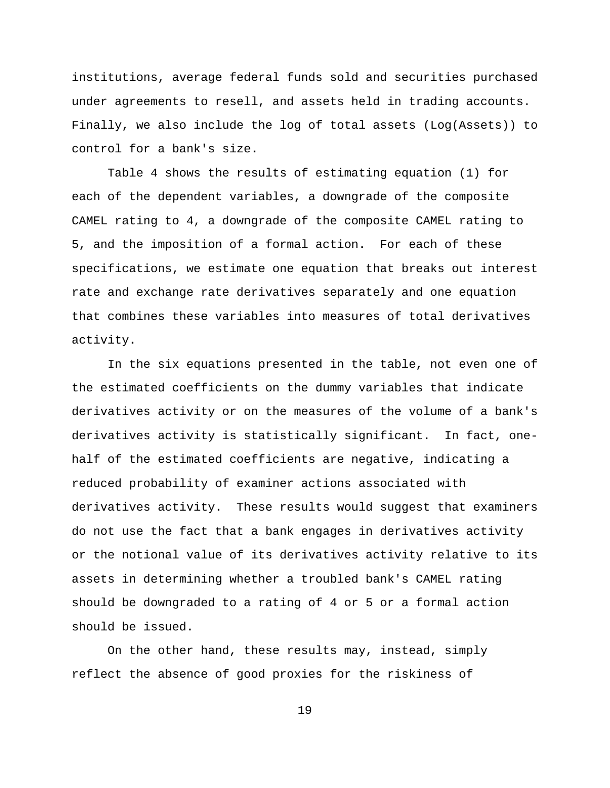institutions, average federal funds sold and securities purchased under agreements to resell, and assets held in trading accounts. Finally, we also include the log of total assets (Log(Assets)) to control for a bank's size.

Table 4 shows the results of estimating equation (1) for each of the dependent variables, a downgrade of the composite CAMEL rating to 4, a downgrade of the composite CAMEL rating to 5, and the imposition of a formal action. For each of these specifications, we estimate one equation that breaks out interest rate and exchange rate derivatives separately and one equation that combines these variables into measures of total derivatives activity.

In the six equations presented in the table, not even one of the estimated coefficients on the dummy variables that indicate derivatives activity or on the measures of the volume of a bank's derivatives activity is statistically significant. In fact, onehalf of the estimated coefficients are negative, indicating a reduced probability of examiner actions associated with derivatives activity. These results would suggest that examiners do not use the fact that a bank engages in derivatives activity or the notional value of its derivatives activity relative to its assets in determining whether a troubled bank's CAMEL rating should be downgraded to a rating of 4 or 5 or a formal action should be issued.

On the other hand, these results may, instead, simply reflect the absence of good proxies for the riskiness of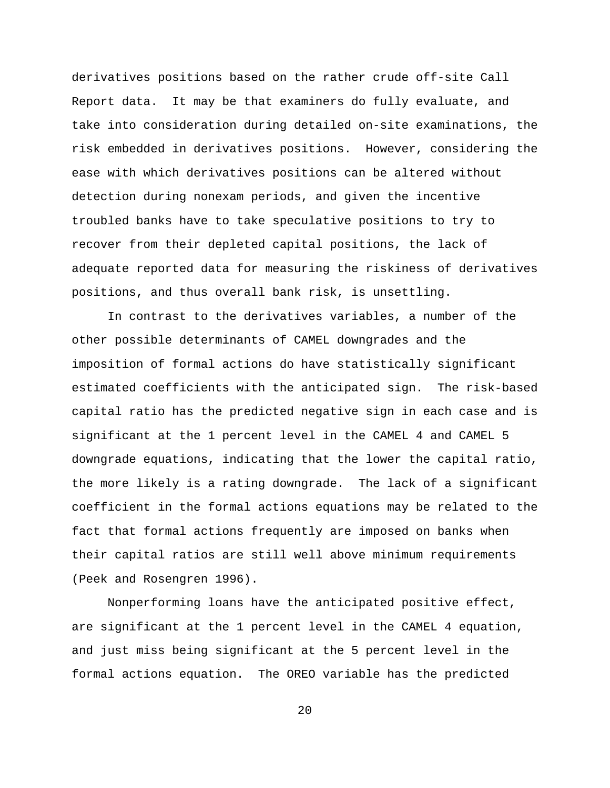derivatives positions based on the rather crude off-site Call Report data. It may be that examiners do fully evaluate, and take into consideration during detailed on-site examinations, the risk embedded in derivatives positions. However, considering the ease with which derivatives positions can be altered without detection during nonexam periods, and given the incentive troubled banks have to take speculative positions to try to recover from their depleted capital positions, the lack of adequate reported data for measuring the riskiness of derivatives positions, and thus overall bank risk, is unsettling.

In contrast to the derivatives variables, a number of the other possible determinants of CAMEL downgrades and the imposition of formal actions do have statistically significant estimated coefficients with the anticipated sign. The risk-based capital ratio has the predicted negative sign in each case and is significant at the 1 percent level in the CAMEL 4 and CAMEL 5 downgrade equations, indicating that the lower the capital ratio, the more likely is a rating downgrade. The lack of a significant coefficient in the formal actions equations may be related to the fact that formal actions frequently are imposed on banks when their capital ratios are still well above minimum requirements (Peek and Rosengren 1996).

Nonperforming loans have the anticipated positive effect, are significant at the 1 percent level in the CAMEL 4 equation, and just miss being significant at the 5 percent level in the formal actions equation. The OREO variable has the predicted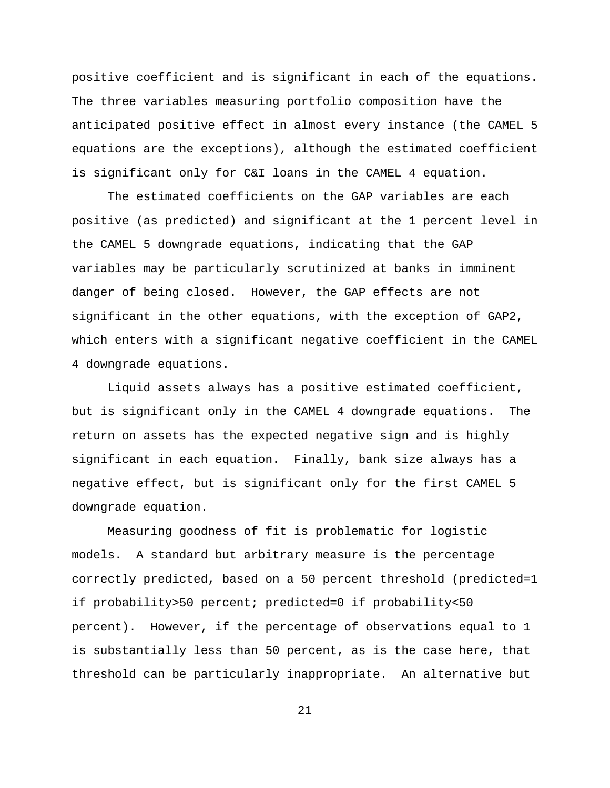positive coefficient and is significant in each of the equations. The three variables measuring portfolio composition have the anticipated positive effect in almost every instance (the CAMEL 5 equations are the exceptions), although the estimated coefficient is significant only for C&I loans in the CAMEL 4 equation.

The estimated coefficients on the GAP variables are each positive (as predicted) and significant at the 1 percent level in the CAMEL 5 downgrade equations, indicating that the GAP variables may be particularly scrutinized at banks in imminent danger of being closed. However, the GAP effects are not significant in the other equations, with the exception of GAP2, which enters with a significant negative coefficient in the CAMEL 4 downgrade equations.

Liquid assets always has a positive estimated coefficient, but is significant only in the CAMEL 4 downgrade equations. The return on assets has the expected negative sign and is highly significant in each equation. Finally, bank size always has a negative effect, but is significant only for the first CAMEL 5 downgrade equation.

Measuring goodness of fit is problematic for logistic models. A standard but arbitrary measure is the percentage correctly predicted, based on a 50 percent threshold (predicted=1 if probability>50 percent; predicted=0 if probability<50 percent). However, if the percentage of observations equal to 1 is substantially less than 50 percent, as is the case here, that threshold can be particularly inappropriate. An alternative but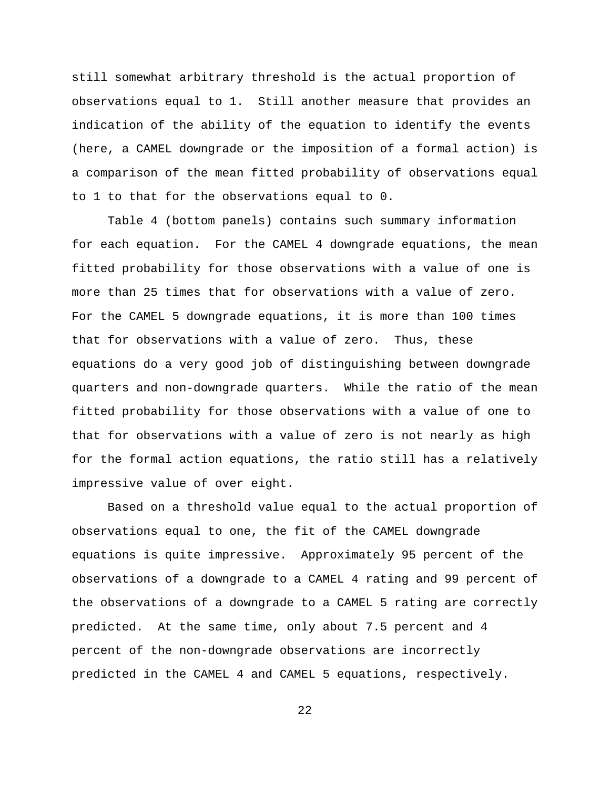still somewhat arbitrary threshold is the actual proportion of observations equal to 1. Still another measure that provides an indication of the ability of the equation to identify the events (here, a CAMEL downgrade or the imposition of a formal action) is a comparison of the mean fitted probability of observations equal to 1 to that for the observations equal to 0.

Table 4 (bottom panels) contains such summary information for each equation. For the CAMEL 4 downgrade equations, the mean fitted probability for those observations with a value of one is more than 25 times that for observations with a value of zero. For the CAMEL 5 downgrade equations, it is more than 100 times that for observations with a value of zero. Thus, these equations do a very good job of distinguishing between downgrade quarters and non-downgrade quarters. While the ratio of the mean fitted probability for those observations with a value of one to that for observations with a value of zero is not nearly as high for the formal action equations, the ratio still has a relatively impressive value of over eight.

Based on a threshold value equal to the actual proportion of observations equal to one, the fit of the CAMEL downgrade equations is quite impressive. Approximately 95 percent of the observations of a downgrade to a CAMEL 4 rating and 99 percent of the observations of a downgrade to a CAMEL 5 rating are correctly predicted. At the same time, only about 7.5 percent and 4 percent of the non-downgrade observations are incorrectly predicted in the CAMEL 4 and CAMEL 5 equations, respectively.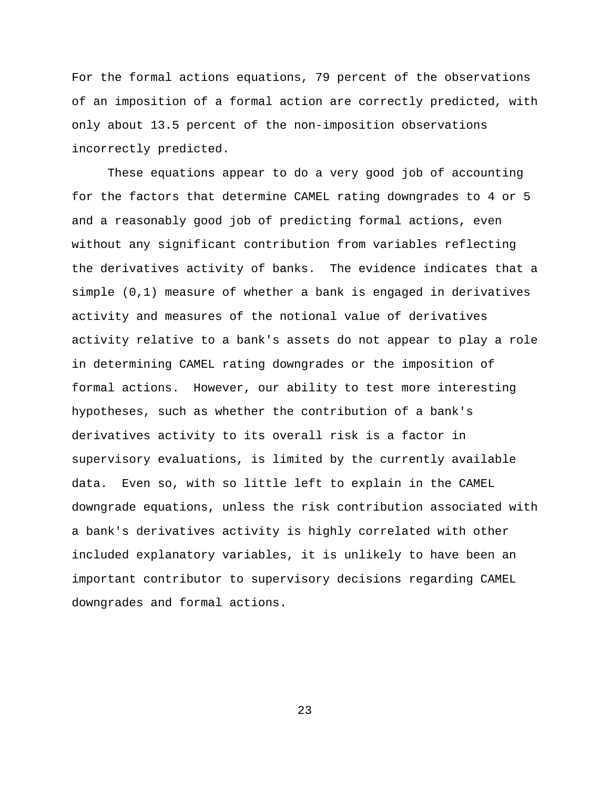For the formal actions equations, 79 percent of the observations of an imposition of a formal action are correctly predicted, with only about 13.5 percent of the non-imposition observations incorrectly predicted.

These equations appear to do a very good job of accounting for the factors that determine CAMEL rating downgrades to 4 or 5 and a reasonably good job of predicting formal actions, even without any significant contribution from variables reflecting the derivatives activity of banks. The evidence indicates that a simple (0,1) measure of whether a bank is engaged in derivatives activity and measures of the notional value of derivatives activity relative to a bank's assets do not appear to play a role in determining CAMEL rating downgrades or the imposition of formal actions. However, our ability to test more interesting hypotheses, such as whether the contribution of a bank's derivatives activity to its overall risk is a factor in supervisory evaluations, is limited by the currently available data. Even so, with so little left to explain in the CAMEL downgrade equations, unless the risk contribution associated with a bank's derivatives activity is highly correlated with other included explanatory variables, it is unlikely to have been an important contributor to supervisory decisions regarding CAMEL downgrades and formal actions.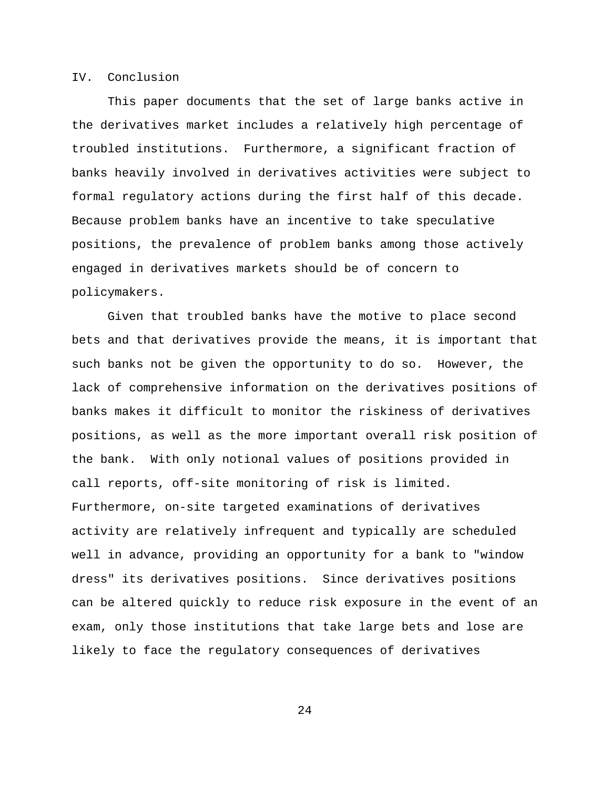## IV. Conclusion

This paper documents that the set of large banks active in the derivatives market includes a relatively high percentage of troubled institutions. Furthermore, a significant fraction of banks heavily involved in derivatives activities were subject to formal regulatory actions during the first half of this decade. Because problem banks have an incentive to take speculative positions, the prevalence of problem banks among those actively engaged in derivatives markets should be of concern to policymakers.

Given that troubled banks have the motive to place second bets and that derivatives provide the means, it is important that such banks not be given the opportunity to do so. However, the lack of comprehensive information on the derivatives positions of banks makes it difficult to monitor the riskiness of derivatives positions, as well as the more important overall risk position of the bank. With only notional values of positions provided in call reports, off-site monitoring of risk is limited. Furthermore, on-site targeted examinations of derivatives activity are relatively infrequent and typically are scheduled well in advance, providing an opportunity for a bank to "window dress" its derivatives positions. Since derivatives positions can be altered quickly to reduce risk exposure in the event of an exam, only those institutions that take large bets and lose are likely to face the regulatory consequences of derivatives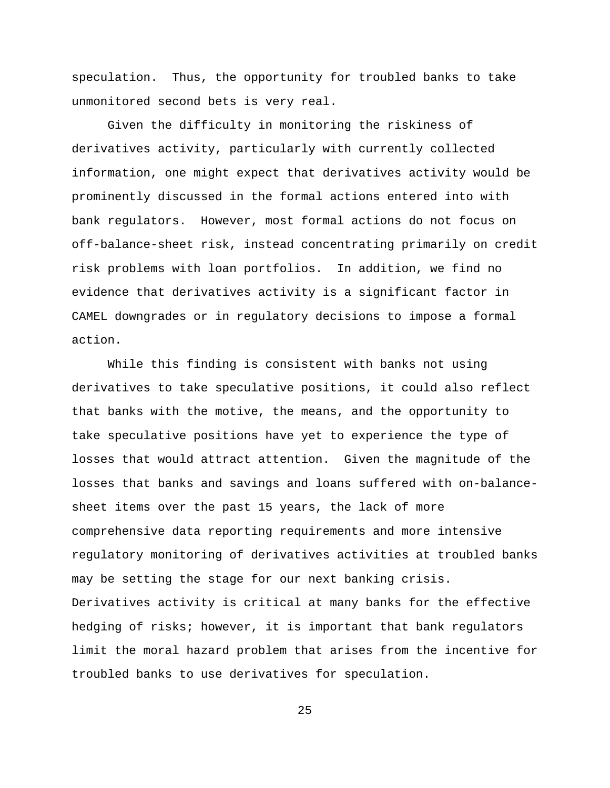speculation. Thus, the opportunity for troubled banks to take unmonitored second bets is very real.

Given the difficulty in monitoring the riskiness of derivatives activity, particularly with currently collected information, one might expect that derivatives activity would be prominently discussed in the formal actions entered into with bank regulators. However, most formal actions do not focus on off-balance-sheet risk, instead concentrating primarily on credit risk problems with loan portfolios. In addition, we find no evidence that derivatives activity is a significant factor in CAMEL downgrades or in regulatory decisions to impose a formal action.

While this finding is consistent with banks not using derivatives to take speculative positions, it could also reflect that banks with the motive, the means, and the opportunity to take speculative positions have yet to experience the type of losses that would attract attention. Given the magnitude of the losses that banks and savings and loans suffered with on-balancesheet items over the past 15 years, the lack of more comprehensive data reporting requirements and more intensive regulatory monitoring of derivatives activities at troubled banks may be setting the stage for our next banking crisis. Derivatives activity is critical at many banks for the effective hedging of risks; however, it is important that bank regulators limit the moral hazard problem that arises from the incentive for troubled banks to use derivatives for speculation.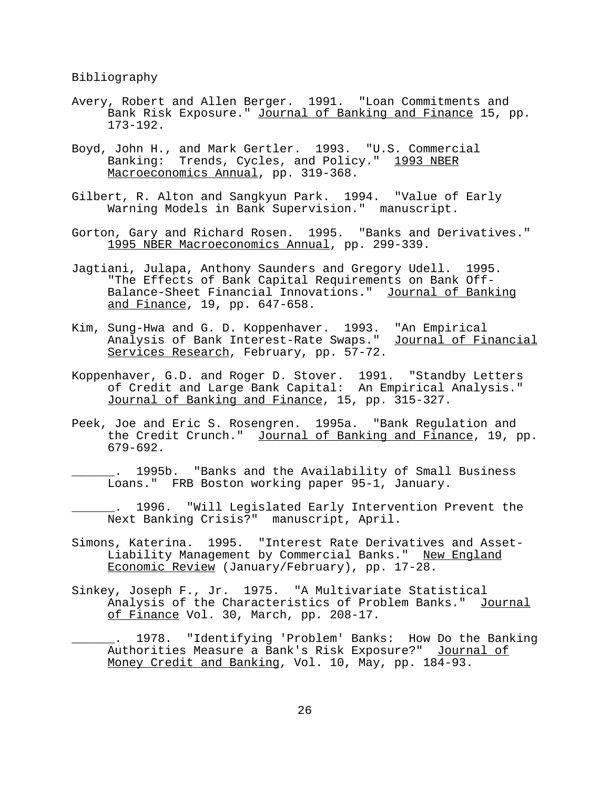Bibliography

- Avery, Robert and Allen Berger. 1991. "Loan Commitments and Bank Risk Exposure." Journal of Banking and Finance 15, pp. 173-192.
- Boyd, John H., and Mark Gertler. 1993. "U.S. Commercial Banking: Trends, Cycles, and Policy." 1993 NBER Macroeconomics Annual, pp. 319-368.
- Gilbert, R. Alton and Sangkyun Park. 1994. "Value of Early Warning Models in Bank Supervision." manuscript.
- Gorton, Gary and Richard Rosen. 1995. "Banks and Derivatives." 1995 NBER Macroeconomics Annual, pp. 299-339.
- Jagtiani, Julapa, Anthony Saunders and Gregory Udell. 1995. "The Effects of Bank Capital Requirements on Bank Off-Balance-Sheet Financial Innovations." Journal of Banking and Finance, 19, pp. 647-658.
- Kim, Sung-Hwa and G. D. Koppenhaver. 1993. "An Empirical Analysis of Bank Interest-Rate Swaps." Journal of Financial Services Research, February, pp. 57-72.
- Koppenhaver, G.D. and Roger D. Stover. 1991. "Standby Letters of Credit and Large Bank Capital: An Empirical Analysis." Journal of Banking and Finance, 15, pp. 315-327.
- Peek, Joe and Eric S. Rosengren. 1995a. "Bank Regulation and the Credit Crunch." Journal of Banking and Finance, 19, pp. 679-692.
	- . 1995b. "Banks and the Availability of Small Business Loans." FRB Boston working paper 95-1, January.

\_\_\_\_\_\_. 1996. "Will Legislated Early Intervention Prevent the Next Banking Crisis?" manuscript, April.

- Simons, Katerina. 1995. "Interest Rate Derivatives and Asset-Liability Management by Commercial Banks." New England Economic Review (January/February), pp. 17-28.
- Sinkey, Joseph F., Jr. 1975. "A Multivariate Statistical Analysis of the Characteristics of Problem Banks." Journal of Finance Vol. 30, March, pp. 208-17.

\_\_\_\_\_\_. 1978. "Identifying 'Problem' Banks: How Do the Banking Authorities Measure a Bank's Risk Exposure?" Journal of Money Credit and Banking, Vol. 10, May, pp. 184-93.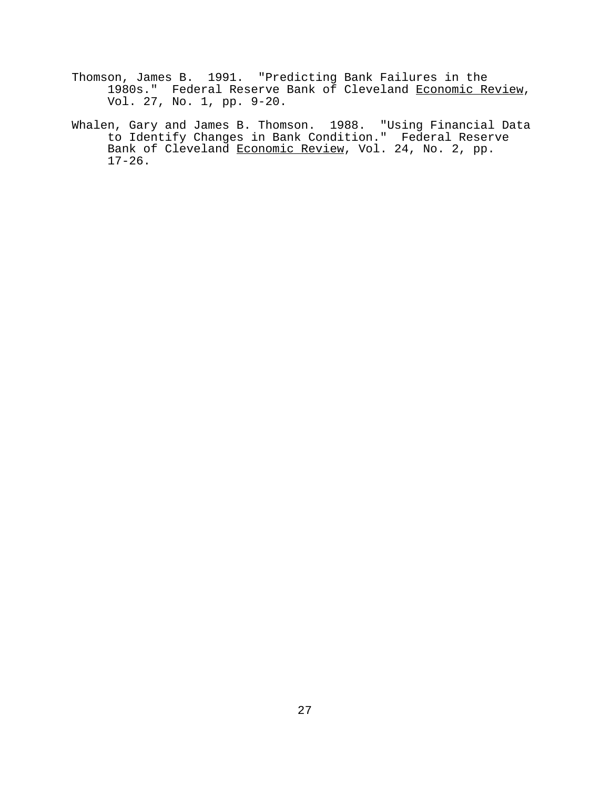- Thomson, James B. 1991. "Predicting Bank Failures in the 1980s." Federal Reserve Bank of Cleveland Economic Review, Vol. 27, No. 1, pp. 9-20.
- Whalen, Gary and James B. Thomson. 1988. "Using Financial Data to Identify Changes in Bank Condition." Federal Reserve Bank of Cleveland Economic Review, Vol. 24, No. 2, pp.  $17-26$ .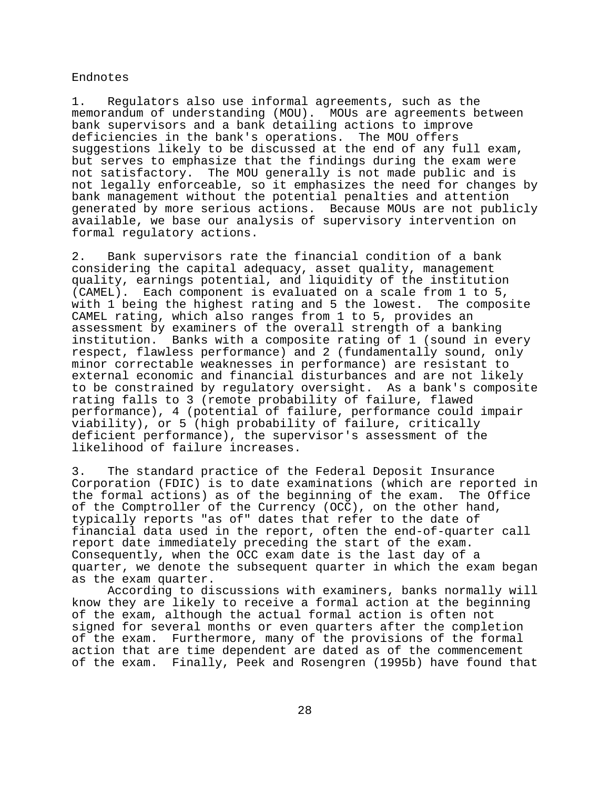#### Endnotes

1. Regulators also use informal agreements, such as the memorandum of understanding (MOU). MOUs are agreements between bank supervisors and a bank detailing actions to improve deficiencies in the bank's operations. The MOU offers suggestions likely to be discussed at the end of any full exam, but serves to emphasize that the findings during the exam were not satisfactory. The MOU generally is not made public and is not legally enforceable, so it emphasizes the need for changes by bank management without the potential penalties and attention generated by more serious actions. Because MOUs are not publicly available, we base our analysis of supervisory intervention on formal regulatory actions.

2. Bank supervisors rate the financial condition of a bank considering the capital adequacy, asset quality, management quality, earnings potential, and liquidity of the institution (CAMEL). Each component is evaluated on a scale from 1 to 5, with 1 being the highest rating and 5 the lowest. The composite CAMEL rating, which also ranges from 1 to 5, provides an assessment by examiners of the overall strength of a banking institution. Banks with a composite rating of 1 (sound in every respect, flawless performance) and 2 (fundamentally sound, only minor correctable weaknesses in performance) are resistant to external economic and financial disturbances and are not likely to be constrained by regulatory oversight. As a bank's composite rating falls to 3 (remote probability of failure, flawed performance), 4 (potential of failure, performance could impair viability), or 5 (high probability of failure, critically deficient performance), the supervisor's assessment of the likelihood of failure increases.

3. The standard practice of the Federal Deposit Insurance Corporation (FDIC) is to date examinations (which are reported in the formal actions) as of the beginning of the exam. The Office of the Comptroller of the Currency (OCC), on the other hand, typically reports "as of" dates that refer to the date of financial data used in the report, often the end-of-quarter call report date immediately preceding the start of the exam. Consequently, when the OCC exam date is the last day of a quarter, we denote the subsequent quarter in which the exam began as the exam quarter.

According to discussions with examiners, banks normally will know they are likely to receive a formal action at the beginning of the exam, although the actual formal action is often not signed for several months or even quarters after the completion of the exam. Furthermore, many of the provisions of the formal action that are time dependent are dated as of the commencement of the exam. Finally, Peek and Rosengren (1995b) have found that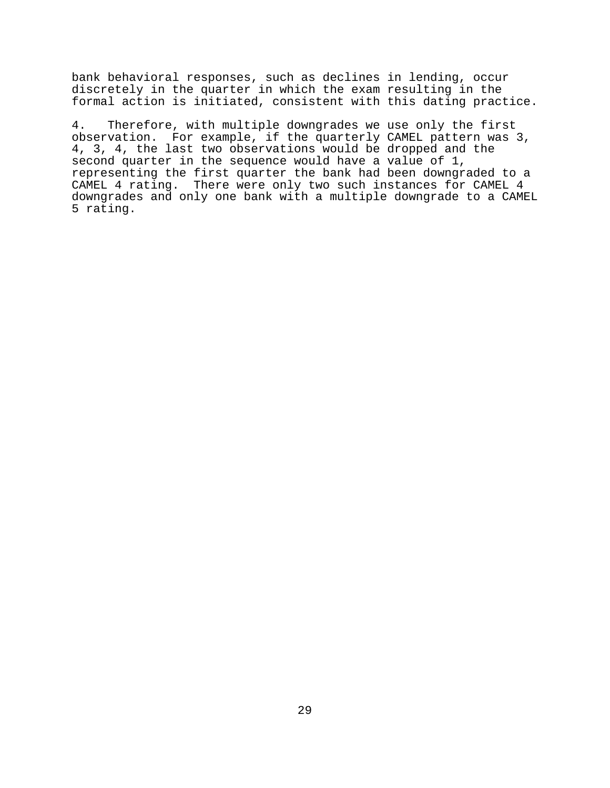bank behavioral responses, such as declines in lending, occur discretely in the quarter in which the exam resulting in the formal action is initiated, consistent with this dating practice.

4. Therefore, with multiple downgrades we use only the first observation. For example, if the quarterly CAMEL pattern was 3, 4, 3, 4, the last two observations would be dropped and the second quarter in the sequence would have a value of 1, representing the first quarter the bank had been downgraded to a CAMEL 4 rating. There were only two such instances for CAMEL 4 downgrades and only one bank with a multiple downgrade to a CAMEL 5 rating.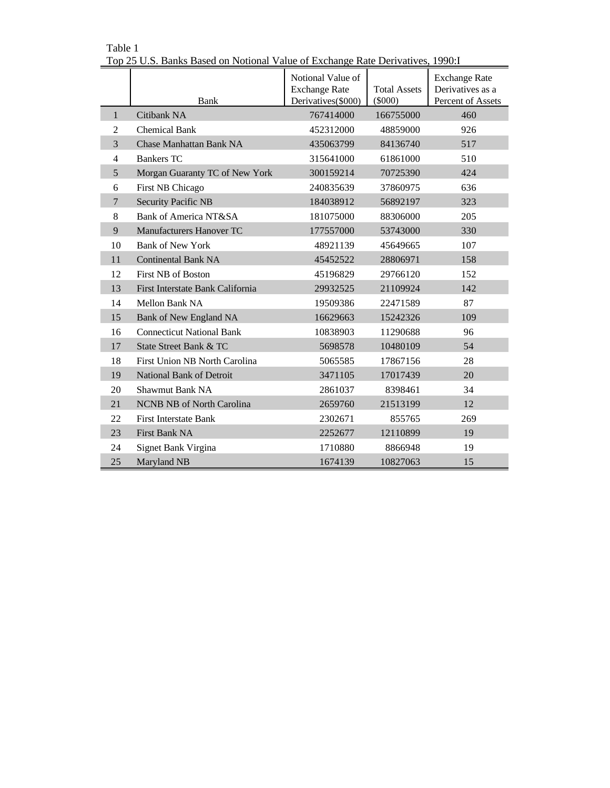|                |                                  | Notional Value of<br><b>Exchange Rate</b> | <b>Total Assets</b> | <b>Exchange Rate</b><br>Derivatives as a |
|----------------|----------------------------------|-------------------------------------------|---------------------|------------------------------------------|
|                | Bank                             | Derivatives(\$000)                        | $(\$000)$           | Percent of Assets                        |
| $\mathbf{1}$   | Citibank NA                      | 767414000                                 | 166755000           | 460                                      |
| 2              | <b>Chemical Bank</b>             | 452312000                                 | 48859000            | 926                                      |
| 3              | Chase Manhattan Bank NA          | 435063799                                 | 84136740            | 517                                      |
| 4              | <b>Bankers TC</b>                | 315641000                                 | 61861000            | 510                                      |
| 5              | Morgan Guaranty TC of New York   | 300159214                                 | 70725390            | 424                                      |
| 6              | First NB Chicago                 | 240835639                                 | 37860975            | 636                                      |
| $\overline{7}$ | <b>Security Pacific NB</b>       | 184038912                                 | 56892197            | 323                                      |
| 8              | <b>Bank of America NT&amp;SA</b> | 181075000                                 | 88306000            | 205                                      |
| 9              | Manufacturers Hanover TC         | 177557000                                 | 53743000            | 330                                      |
| 10             | <b>Bank of New York</b>          | 48921139                                  | 45649665            | 107                                      |
| 11             | <b>Continental Bank NA</b>       | 45452522                                  | 28806971            | 158                                      |
| 12             | First NB of Boston               | 45196829                                  | 29766120            | 152                                      |
| 13             | First Interstate Bank California | 29932525                                  | 21109924            | 142                                      |
| 14             | Mellon Bank NA                   | 19509386                                  | 22471589            | 87                                       |
| 15             | Bank of New England NA           | 16629663                                  | 15242326            | 109                                      |
| 16             | <b>Connecticut National Bank</b> | 10838903                                  | 11290688            | 96                                       |
| 17             | State Street Bank & TC           | 5698578                                   | 10480109            | 54                                       |
| 18             | First Union NB North Carolina    | 5065585                                   | 17867156            | 28                                       |
| 19             | National Bank of Detroit         | 3471105                                   | 17017439            | 20                                       |
| 20             | Shawmut Bank NA                  | 2861037                                   | 8398461             | 34                                       |
| 21             | <b>NCNB NB</b> of North Carolina | 2659760                                   | 21513199            | 12                                       |
| 22             | <b>First Interstate Bank</b>     | 2302671                                   | 855765              | 269                                      |
| 23             | <b>First Bank NA</b>             | 2252677                                   | 12110899            | 19                                       |
| 24             | Signet Bank Virgina              | 1710880                                   | 8866948             | 19                                       |
| 25             | Maryland NB                      | 1674139                                   | 10827063            | 15                                       |

Table 1 Top 25 U.S. Banks Based on Notional Value of Exchange Rate Derivatives, 1990:I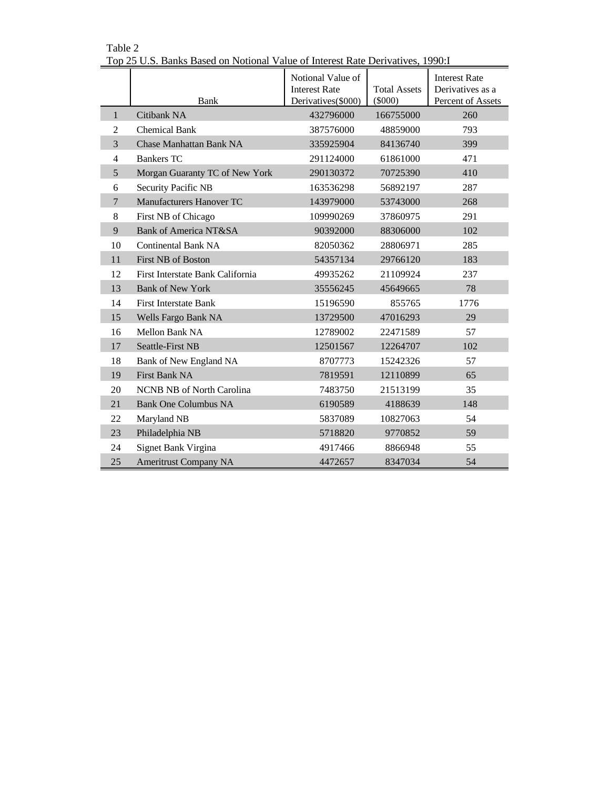|                |                                  | Notional Value of<br><b>Interest Rate</b> | <b>Total Assets</b> | <b>Interest Rate</b><br>Derivatives as a |
|----------------|----------------------------------|-------------------------------------------|---------------------|------------------------------------------|
|                | Bank                             | Derivatives(\$000)                        | $(\$000)$           | Percent of Assets                        |
| $\mathbf{1}$   | Citibank NA                      | 432796000                                 | 166755000           | 260                                      |
| $\overline{2}$ | <b>Chemical Bank</b>             | 387576000                                 | 48859000            | 793                                      |
| 3              | Chase Manhattan Bank NA          | 335925904                                 | 84136740            | 399                                      |
| 4              | <b>Bankers TC</b>                | 291124000                                 | 61861000            | 471                                      |
| 5              | Morgan Guaranty TC of New York   | 290130372                                 | 70725390            | 410                                      |
| 6              | <b>Security Pacific NB</b>       | 163536298                                 | 56892197            | 287                                      |
| $\overline{7}$ | Manufacturers Hanover TC         | 143979000                                 | 53743000            | 268                                      |
| $8\,$          | First NB of Chicago              | 109990269                                 | 37860975            | 291                                      |
| 9              | Bank of America NT&SA            | 90392000                                  | 88306000            | 102                                      |
| 10             | <b>Continental Bank NA</b>       | 82050362                                  | 28806971            | 285                                      |
| 11             | First NB of Boston               | 54357134                                  | 29766120            | 183                                      |
| 12             | First Interstate Bank California | 49935262                                  | 21109924            | 237                                      |
| 13             | <b>Bank of New York</b>          | 35556245                                  | 45649665            | 78                                       |
| 14             | <b>First Interstate Bank</b>     | 15196590                                  | 855765              | 1776                                     |
| 15             | Wells Fargo Bank NA              | 13729500                                  | 47016293            | 29                                       |
| 16             | Mellon Bank NA                   | 12789002                                  | 22471589            | 57                                       |
| 17             | <b>Seattle-First NB</b>          | 12501567                                  | 12264707            | 102                                      |
| 18             | Bank of New England NA           | 8707773                                   | 15242326            | 57                                       |
| 19             | <b>First Bank NA</b>             | 7819591                                   | 12110899            | 65                                       |
| 20             | <b>NCNB NB</b> of North Carolina | 7483750                                   | 21513199            | 35                                       |
| 21             | <b>Bank One Columbus NA</b>      | 6190589                                   | 4188639             | 148                                      |
| 22             | Maryland NB                      | 5837089                                   | 10827063            | 54                                       |
| 23             | Philadelphia NB                  | 5718820                                   | 9770852             | 59                                       |
| 24             | Signet Bank Virgina              | 4917466                                   | 8866948             | 55                                       |
| 25             | <b>Ameritrust Company NA</b>     | 4472657                                   | 8347034             | 54                                       |

Table 2 Top 25 U.S. Banks Based on Notional Value of Interest Rate Derivatives, 1990:I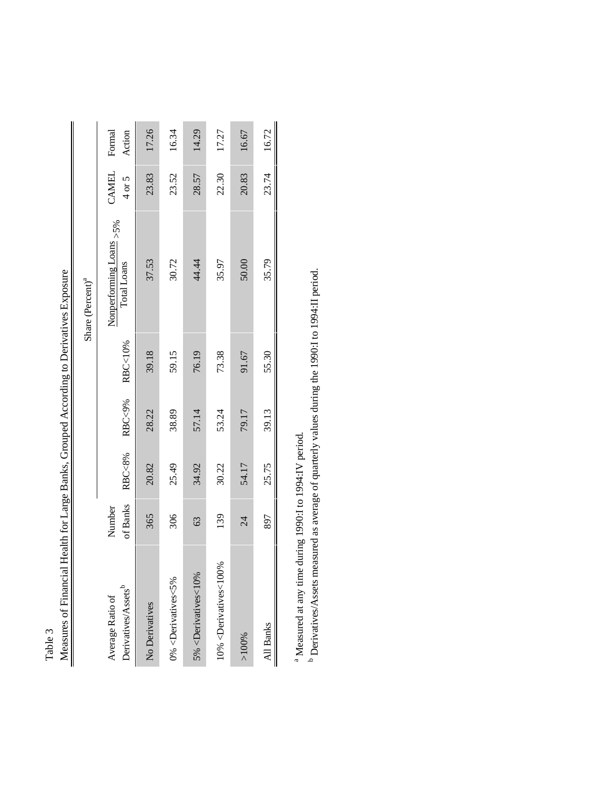|                                                                                                                                                   | J                  |        |        | )       |                                                       |                     |                  |
|---------------------------------------------------------------------------------------------------------------------------------------------------|--------------------|--------|--------|---------|-------------------------------------------------------|---------------------|------------------|
|                                                                                                                                                   |                    |        |        |         | Share (Percent) <sup>a</sup>                          |                     |                  |
| Derivatives/Assets <sup>b</sup><br>Average Ratio of                                                                                               | of Banks<br>Number | RBC<8% | RBC<9% | RBC<10% | Nonperforming Loans ${_{>}}\text{5\%}$<br>Total Loans | CAMEL<br>$4$ or $5$ | Formal<br>Action |
| No Derivatives                                                                                                                                    | 365                | 20.82  | 28.22  | 39.18   | 37.53                                                 | 23.83               | 17.26            |
| 0% <derivatives<5%< td=""><td>306</td><td>25.49</td><td>38.89</td><td>59.15</td><td>30.72</td><td>23.52</td><td>16.34</td></derivatives<5%<>      | 306                | 25.49  | 38.89  | 59.15   | 30.72                                                 | 23.52               | 16.34            |
| 5% <derivatives<10%< td=""><td>63</td><td>34.92</td><td>57.14</td><td>76.19</td><td>44.44</td><td>28.57</td><td>14.29</td></derivatives<10%<>     | 63                 | 34.92  | 57.14  | 76.19   | 44.44                                                 | 28.57               | 14.29            |
| 10% <derivatives<100%< td=""><td>139</td><td>30.22</td><td>53.24</td><td>73.38</td><td>35.97</td><td>22.30</td><td>17.27</td></derivatives<100%<> | 139                | 30.22  | 53.24  | 73.38   | 35.97                                                 | 22.30               | 17.27            |
| >100%                                                                                                                                             | $\overline{24}$    | 54.17  | 79.17  | 91.67   | 50.00                                                 | 20.83               | 16.67            |
| All Banks                                                                                                                                         | 897                | 25.75  | 39.13  | 55.30   | 35.79                                                 | 23.74               | 16.72            |
|                                                                                                                                                   |                    |        |        |         |                                                       |                     |                  |

Measures of Financial Health for Large Banks, Grouped According to Derivatives Exposure Measures of Financial Health for Large Banks, Grouped According to Derivatives Exposure

Table 3

<sup>a</sup> Measured at any time during 1990:I to 1994:IV period.  $^{\text{a}}$  Measured at any time during 1990:I to 1994:IV period.

<sup>b</sup> Derivatives/Assets measured as average of quarterly values during the 1990:1 to 1994:II period.  $^{\rm b}$  Derivatives/Assets measured as average of quarterly values during the 1990:1 to 1994:II period.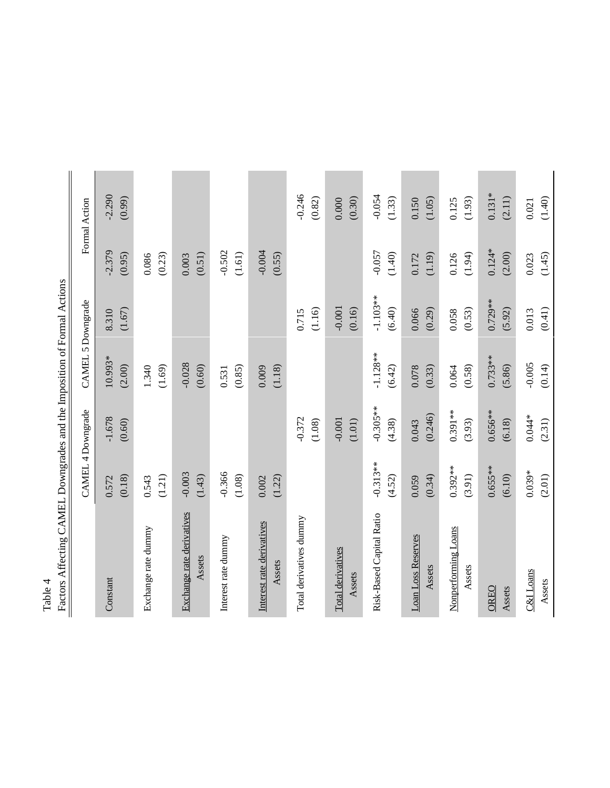|                                     | CAMEL 4 Downgrade    |                      | CAMEL 5 Downgrade    |                      |                    | Formal Action      |
|-------------------------------------|----------------------|----------------------|----------------------|----------------------|--------------------|--------------------|
| Constant                            | (0.18)<br>0.572      | $-1.678$<br>(0.60)   | 10.993*<br>(2.00)    | (1.67)<br>8.310      | $-2.379$<br>(0.95) | $-2.290$<br>(0.99) |
| Exchange rate dummy                 | (1.21)<br>0.543      |                      | (1.69)<br>1.340      |                      | 0.086<br>(0.23)    |                    |
| Exchange rate derivatives<br>Assets | $-0.003$<br>(1.43)   |                      | $-0.028$<br>(0.60)   |                      | (0.51)<br>0.003    |                    |
| Interest rate dummy                 | $-0.366$<br>(1.08)   |                      | (0.85)<br>0.531      |                      | $-0.502$<br>(1.61) |                    |
| Interest rate derivatives<br>Assets | 0.002<br>(1.22)      |                      | 0.009<br>(1.18)      |                      | $-0.004$<br>(0.55) |                    |
| Total derivatives dummy             |                      | $-0.372$<br>(1.08)   |                      | (1.16)<br>0.715      |                    | $-0.246$<br>(0.82) |
| Total derivatives<br>Assets         |                      | $-0.001$<br>(1.01)   |                      | $-0.001$<br>(0.16)   |                    | (0.30)<br>0.000    |
| Risk-Based Capital Ratio            | $-0.313**$<br>(4.52) | $-0.305**$<br>(4.38) | $-1.128**$<br>(6.42) | $-1.103**$<br>(6.40) | $-0.057$<br>(1.40) | $-0.054$<br>(1.33) |
| <b>Loan Loss Reserves</b><br>Assets | (0.34)<br>0.059      | (0.246)<br>0.043     | (0.33)<br>0.078      | (0.29)<br>0.066      | (1.19)<br>0.172    | 0.150<br>(1.05)    |
| Nonperforming Loans<br>Assets       | $0.392**$<br>(3.91)  | $0.391***$<br>(3.93) | (0.58)<br>0.064      | (0.53)<br>0.058      | (1.94)<br>0.126    | (1.93)<br>0.125    |
| OREO<br>Assets                      | $0.65$ 5**<br>(6.10) | $0.656**$<br>(6.18)  | $0.733**$<br>(5.86)  | 0.729**<br>(5.92)    | $0.124*$<br>(2.00) | $0.131*$<br>(2.11) |
| C&I Loans<br>Assets                 | $0.039*$<br>(2.01)   | $0.044*$<br>(2.31)   | $-0.005$<br>(0.14)   | (0.41)<br>0.013      | (1.45)<br>0.023    | (1.40)<br>0.021    |

Table 4  $\frac{\text{Table 4}}{\text{Factors} \text{ Affecting CAMEL} \text{Downgrades and the Imposition of Formal Actions}}$ Factors Affecting CAMEL Downgrades and the Imposition of Formal Actions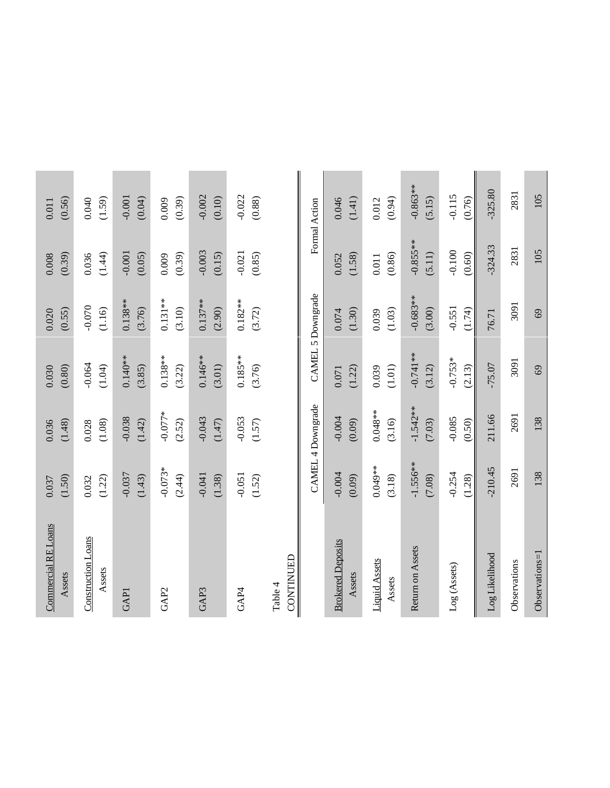| <b>Commercial RE Loans</b> | (1.50)     | (1.48)            | (0.80)     | (0.55)            | (0.39)     | (0.56)        |
|----------------------------|------------|-------------------|------------|-------------------|------------|---------------|
| Assets                     | 0.037      | 0.036             | 0.030      | 0.020             | 0.008      | 0.011         |
| <b>Construction Loans</b>  | (1.22)     | (1.08)            | $-0.064$   | $-0.070$          | (1.44)     | (1.59)        |
| Assets                     | 0.032      | 0.028             | (1.04)     | (1.16)            | 0.036      | 0.040         |
| GAPI                       | $-0.037$   | $-0.038$          | $0.140**$  | $0.138**$         | $-0.001$   | $-0.001$      |
|                            | (1.43)     | (1.42)            | (3.85)     | (3.76)            | (0.05)     | (0.04)        |
| GAP <sub>2</sub>           | $-0.073*$  | $-0.077*$         | $0.138***$ | $0.131***$        | (0.39)     | (0.39)        |
|                            | (2.44)     | (2.52)            | (3.22)     | (3.10)            | 0.009      | 0.009         |
| GAP3                       | $-0.041$   | $-0.043$          | $0.146**$  | $0.137***$        | $-0.003$   | $-0.002$      |
|                            | (1.38)     | (1.47)            | (3.01)     | (2.90)            | (0.15)     | (0.10)        |
| GAP4                       | $-0.051$   | $-0.053$          | $0.185***$ | $0.182***$        | $-0.021$   | $-0.022$      |
|                            | (1.52)     | (1.57)            | (3.76)     | (3.72)            | (0.85)     | (0.88)        |
| CONTINUED<br>Table 4       |            |                   |            |                   |            |               |
|                            |            | CAMEL 4 Downgrade |            | CAMEL 5 Downgrade |            | Formal Action |
| <b>Brokered Deposits</b>   | $-0.004$   | $-0.004$          | (1.22)     | (1.30)            | (1.58)     | (1.41)        |
| Assets                     | (0.09)     | (0.09)            | 0.071      | 0.074             | 0.052      | 0.046         |
| <b>Liquid Assets</b>       | 0.049**    | $0.048**$         | $(1.01)$   | (1.03)            | (0.86)     | (0.94)        |
| Assets                     | (3.18)     | (3.16)            | 0.039      | 0.039             | 0.011      | 0.012         |
| Return on Assets           | $-1.556**$ | $-1.542***$       | $-0.741**$ | $-0.683**$        | $-0.855**$ | $-0.863**$    |
|                            | (7.08)     | (7.03)            | (3.12)     | (3.00)            | (5.11)     | (5.15)        |
| Log (Assets)               | $-0.254$   | $-0.085$          | $-0.753*$  | $-0.551$          | $-0.100$   | $-0.115$      |
|                            | (1.28)     | (0.50)            | (2.13)     | (1.74)            | (0.60)     | (0.76)        |
| Log Likelihood             | $-210.45$  | 211.66            | $-75.07$   | 76.71             | $-324.33$  | 325.80        |
| Observations               | 2691       | 2691              | 3091       | 3091              | 2831       | 2831          |
| Observations=1             | 138        | 138               | 69         | 69                | 105        | 105           |